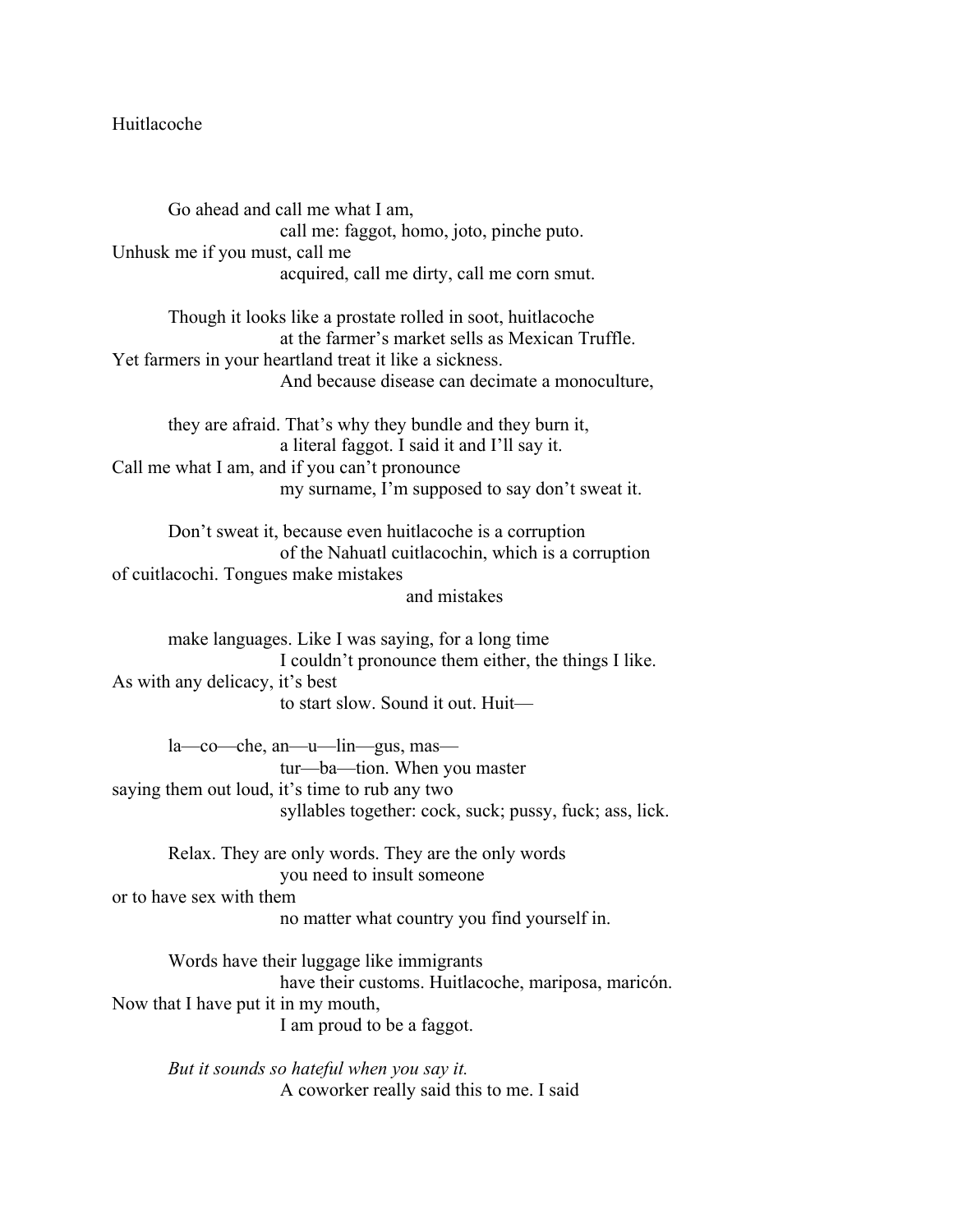## Huitlacoche

Go ahead and call me what I am, call me: faggot, homo, joto, pinche puto. Unhusk me if you must, call me acquired, call me dirty, call me corn smut.

Though it looks like a prostate rolled in soot, huitlacoche at the farmer's market sells as Mexican Truffle. Yet farmers in your heartland treat it like a sickness. And because disease can decimate a monoculture,

they are afraid. That's why they bundle and they burn it, a literal faggot. I said it and I'll say it. Call me what I am, and if you can't pronounce my surname, I'm supposed to say don't sweat it.

Don't sweat it, because even huitlacoche is a corruption of the Nahuatl cuitlacochin, which is a corruption of cuitlacochi. Tongues make mistakes and mistakes

make languages. Like I was saying, for a long time I couldn't pronounce them either, the things I like. As with any delicacy, it's best to start slow. Sound it out. Huit—

la—co—che, an—u—lin—gus, mas tur—ba—tion. When you master saying them out loud, it's time to rub any two syllables together: cock, suck; pussy, fuck; ass, lick.

Relax. They are only words. They are the only words you need to insult someone or to have sex with them no matter what country you find yourself in.

Words have their luggage like immigrants have their customs. Huitlacoche, mariposa, maricón. Now that I have put it in my mouth, I am proud to be a faggot.

*But it sounds so hateful when you say it.* A coworker really said this to me. I said